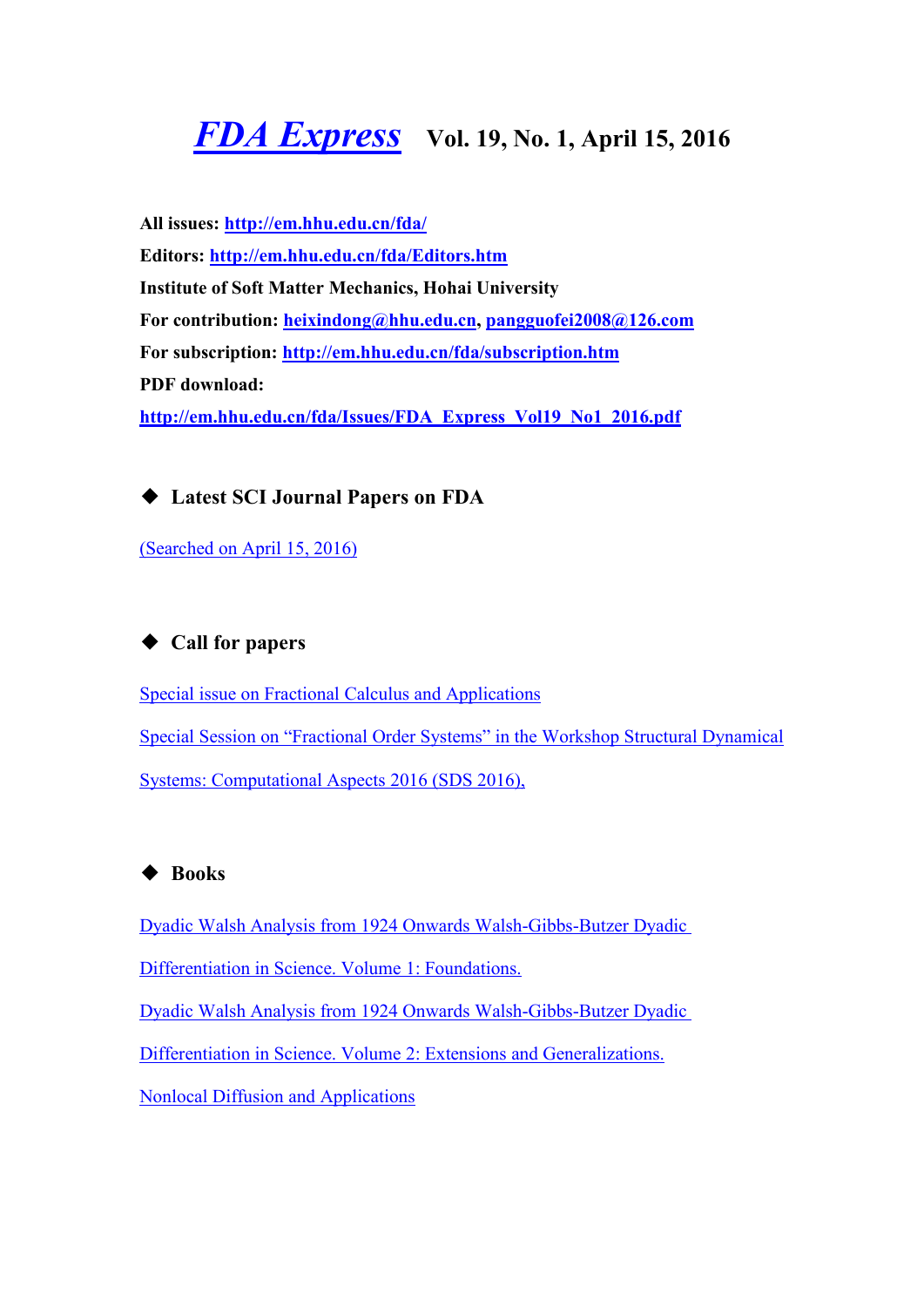# <span id="page-0-0"></span>*FDA [Express](http://em.hhu.edu.cn/fda/index.htm)* **Vol. 19, No. 1, April 15, <sup>2016</sup>**

**All issues: <http://em.hhu.edu.cn/fda/> Editors: <http://em.hhu.edu.cn/fda/Editors.htm> Institute of Soft Matter Mechanics, Hohai University For contribution: [heixin](mailto:heixindong@hhu.edu.cn)[dong@hhu.edu.cn](mailto:fdaexpress@163.com), [pangguofei2008@126.com](mailto:fdaexpress@hhu.edu.cn) For subscription: <http://em.hhu.edu.cn/fda/subscription.htm> PDF download: [http://em.hhu.edu.cn/fda/Issues/FDA\\_Express\\_Vol19\\_No1\\_2016.pdf](http://em.hhu.edu.cn/fda/Issues/FDA_Express_Vol17_No3_2015.pdf)**

◆ **Latest SCI Journal Papers on FDA**

[\(Searched](#page-1-0) on April 15, 2016)

## ◆ **Call for papers**

Special issue on Fractional Calculus and [Applications](#page-3-0) Special Session on "Fractional Order Systems" in the Workshop Structural Dynamical Systems: Computational Aspects 2016 (SDS 2016),

## ◆ **Books**

Dyadic Walsh Analysis from 1924 Onwards [Walsh-Gibbs-Butzer](#page-4-0) Dyadic

[Differentiation](#page-4-0) in Science. Volume 1: Foundations.

Dyadic Walsh Analysis from 1924 Onwards [Walsh-Gibbs-Butzer](#page-5-0) Dyadic

Differentiation in Science. Volume 2: Extensions and [Generalizations.](#page-5-0)

Nonlocal Diffusion and [Applications](#page-6-0)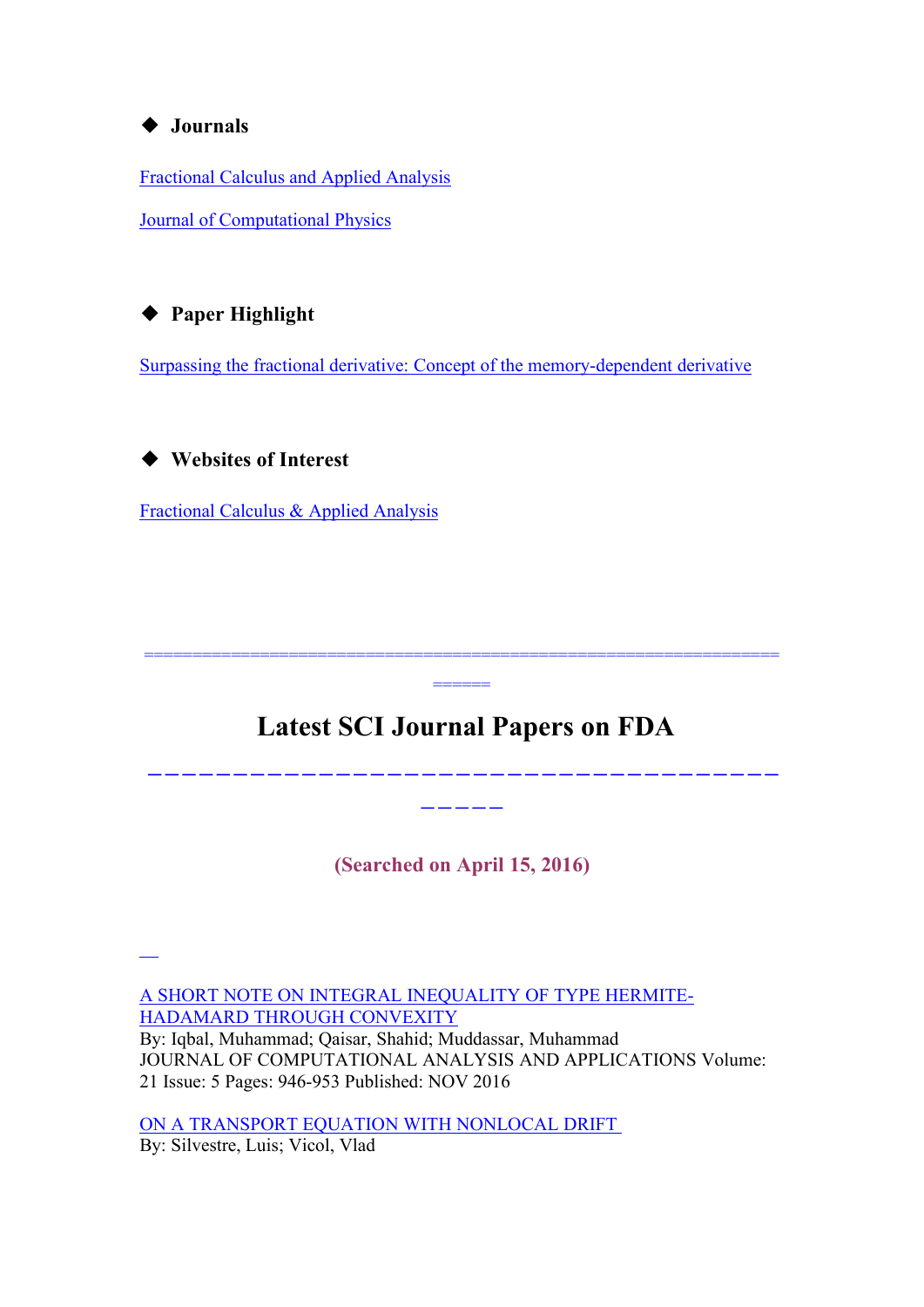#### <span id="page-1-0"></span>◆ **Journals**

[Fractional](#page-7-0) Calculus and Applied Analysis

Journal of [Computational](#page-9-0) Physics

## ◆ **Paper Highlight**

Surpassing the fractional derivative: Concept of the [memory-dependent](#page-10-0) derivative

## ◆ **Websites of Interest**

[Fractional](http://www.degruyter.com/view/j/fca) Calculus & Applied Analysis

## **Latest SCI Journal Papers on FDA**

 $=$ 

==================================================================

-------------------------------------

-----

**(Searched on April 15, 2016)**

A SHORT NOTE ON INTEGRAL [INEQUALITY](http://apps.webofknowledge.com/summary.do?locale=en_US&errorKey=&viewType=summary&SID=3AmrjxtwHl6gebPy3eY&product=UA&qid=2&search_mode=GeneralSearch) OF TYPE HERMITE-[HADAMARD](http://apps.webofknowledge.com/summary.do?locale=en_US&errorKey=&viewType=summary&SID=3AmrjxtwHl6gebPy3eY&product=UA&qid=2&search_mode=GeneralSearch) THROUGH CONVEXITY By: Iqbal, Muhammad; Qaisar, Shahid; Muddassar, Muhammad JOURNAL OF COMPUTATIONAL ANALYSIS AND APPLICATIONS Volume: [21](http://apps.webofknowledge.com/summary.do?locale=en_US&errorKey=&viewType=summary&SID=3AmrjxtwHl6gebPy3eY&product=UA&qid=2&search_mode=GeneralSearch) Issue: 5 Pages: 946-953 Published: NOV 2016

ON A [TRANSPORT](http://apps.webofknowledge.com/summary.do?locale=en_US&errorKey=&viewType=summary&SID=3AmrjxtwHl6gebPy3eY&product=UA&qid=2&search_mode=GeneralSearch) EQUATION WITH NONLOCAL DRIFT By: Silvestre, Luis; Vicol, Vlad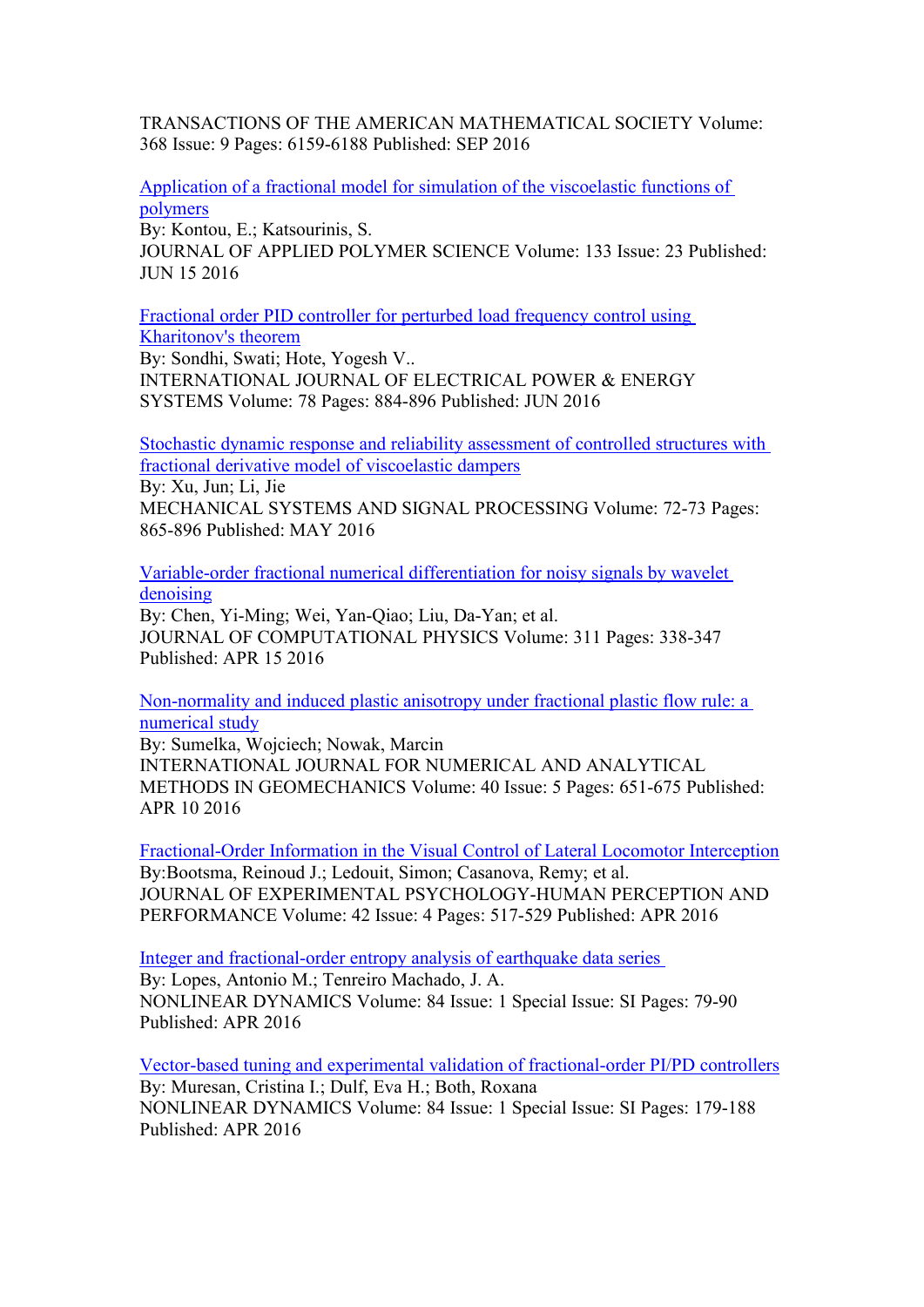TRANSACTIONS OF THE AMERICAN MATHEMATICAL SOCIETY Volume: 368 Issue: 9 Pages: 6159-6188 Published: SEP 2016

[Application](http://apps.webofknowledge.com/summary.do?locale=en_US&errorKey=&viewType=summary&SID=3AmrjxtwHl6gebPy3eY&product=UA&qid=2&search_mode=GeneralSearch) of a fractional model for simulation of the viscoelastic functions of [polymers](http://apps.webofknowledge.com/summary.do?locale=en_US&errorKey=&viewType=summary&SID=3AmrjxtwHl6gebPy3eY&product=UA&qid=2&search_mode=GeneralSearch)

By: Kontou, E.; Katsourinis, S.

JOURNAL OF APPLIED POLYMER SCIENCE Volume: 133 Issue: 23 Published: [JU](http://apps.webofknowledge.com/summary.do?locale=en_US&errorKey=&viewType=summary&SID=3AmrjxtwHl6gebPy3eY&product=UA&qid=2&search_mode=GeneralSearch)N 15 2016

[Fractional](http://apps.webofknowledge.com/summary.do?locale=en_US&errorKey=&viewType=summary&SID=3AmrjxtwHl6gebPy3eY&product=UA&qid=2&search_mode=GeneralSearch) order PID controller for perturbed load frequency control using

[Kharitonov's](http://apps.webofknowledge.com/summary.do?locale=en_US&errorKey=&viewType=summary&SID=3AmrjxtwHl6gebPy3eY&product=UA&qid=2&search_mode=GeneralSearch) theorem

By: Sondhi, Swati; Hote, Yogesh V.. INTERNATIONAL JOURNAL OF ELECTRICAL POWER & ENERGY SYSTEMS Volume: 78 Pages: 884-896 Published: JUN 2016

Stochastic dynamic response and reliability [assessment](http://apps.webofknowledge.com/summary.do?locale=en_US&errorKey=&viewType=summary&SID=3AmrjxtwHl6gebPy3eY&product=UA&qid=2&search_mode=GeneralSearch) of controlled structures with fractional derivative model of [viscoelastic](http://apps.webofknowledge.com/summary.do?locale=en_US&errorKey=&viewType=summary&SID=3AmrjxtwHl6gebPy3eY&product=UA&qid=2&search_mode=GeneralSearch) dampers

By: Xu, Jun; Li, Jie

MECHANICAL SYSTEMS AND SIGNAL PROCESSING Volume: 72-73 Pages: 865-896 Published: MAY 2016

[Variable-order](http://apps.webofknowledge.com/summary.do?locale=en_US&errorKey=&viewType=summary&SID=3AmrjxtwHl6gebPy3eY&product=UA&qid=2&search_mode=GeneralSearch) fractional numerical differentiation for noisy signals by wavelet [denoising](http://apps.webofknowledge.com/summary.do?locale=en_US&errorKey=&viewType=summary&SID=3AmrjxtwHl6gebPy3eY&product=UA&qid=2&search_mode=GeneralSearch)

By: Chen, Yi-Ming; Wei, Yan-Qiao; Liu, Da-Yan; et al. JOURNAL OF COMPUTATIONAL PHYSICS Volume: 311 Pages: 338-347 Published: APR 15 2016

[Non-normality](http://apps.webofknowledge.com/summary.do?locale=en_US&errorKey=&viewType=summary&SID=3AmrjxtwHl6gebPy3eY&product=UA&qid=2&search_mode=GeneralSearch) and induced plastic anisotropy under fractional plastic flow rule: a [numerical](http://apps.webofknowledge.com/summary.do?locale=en_US&errorKey=&viewType=summary&SID=3AmrjxtwHl6gebPy3eY&product=UA&qid=2&search_mode=GeneralSearch) study

By: Sumelka, Wojciech; Nowak, Marcin INTERNATIONAL JOURNAL FOR NUMERICAL AND ANALYTICAL METHODS IN GEOMECHANICS Volume: 40 Issue: 5 Pages: 651-675 Published: [A](http://apps.webofknowledge.com/summary.do?locale=en_US&errorKey=&viewType=summary&SID=3AmrjxtwHl6gebPy3eY&product=UA&qid=2&search_mode=GeneralSearch)PR 10 2016

[Fractional-Order](http://apps.webofknowledge.com/summary.do?locale=en_US&errorKey=&viewType=summary&SID=3AmrjxtwHl6gebPy3eY&product=UA&qid=2&search_mode=GeneralSearch) Information in the Visual Control of Lateral Locomotor Interception By: Bootsma, Reinoud J.; Ledouit, Simon; Casanova, Remy; et al. JOURNAL OF EXPERIMENTAL PSYCHOLOGY-HUMAN PERCEPTION AND [P](http://apps.webofknowledge.com/summary.do?locale=en_US&errorKey=&viewType=summary&SID=3AmrjxtwHl6gebPy3eY&product=UA&qid=2&search_mode=GeneralSearcho)ERFORMANCE Volume: 42 Issue: 4 Pages: 517-529 Published: APR 2016

Integer and [fractional-order](http://apps.webofknowledge.com/summary.do?locale=en_US&errorKey=&viewType=summary&SID=3AmrjxtwHl6gebPy3eY&product=UA&qid=2&search_mode=GeneralSearcho) entropy analysis of earthquake data series By: Lopes, Antonio M.; Tenreiro Machado, J. A. NONLINEAR DYNAMICS Volume: 84 Issue: 1 Special Issue: SI Pages: 79-90 [P](http://apps.webofknowledge.com/summary.do?locale=en_US&errorKey=&viewType=summary&SID=3AmrjxtwHl6gebPy3eY&product=UA&qid=2&search_mode=GeneralSearch)ublished: APR 2016

Vector-based tuning and experimental validation of [fractional-order](http://apps.webofknowledge.com/summary.do?locale=en_US&errorKey=&viewType=summary&SID=3AmrjxtwHl6gebPy3eY&product=UA&qid=2&search_mode=GeneralSearch) PI/PD controllers By: Muresan, Cristina I.; Dulf, Eva H.; Both, Roxana NONLINEAR DYNAMICS Volume: 84 Issue: 1 Special Issue: SI Pages: 179-188 Published: APR 2016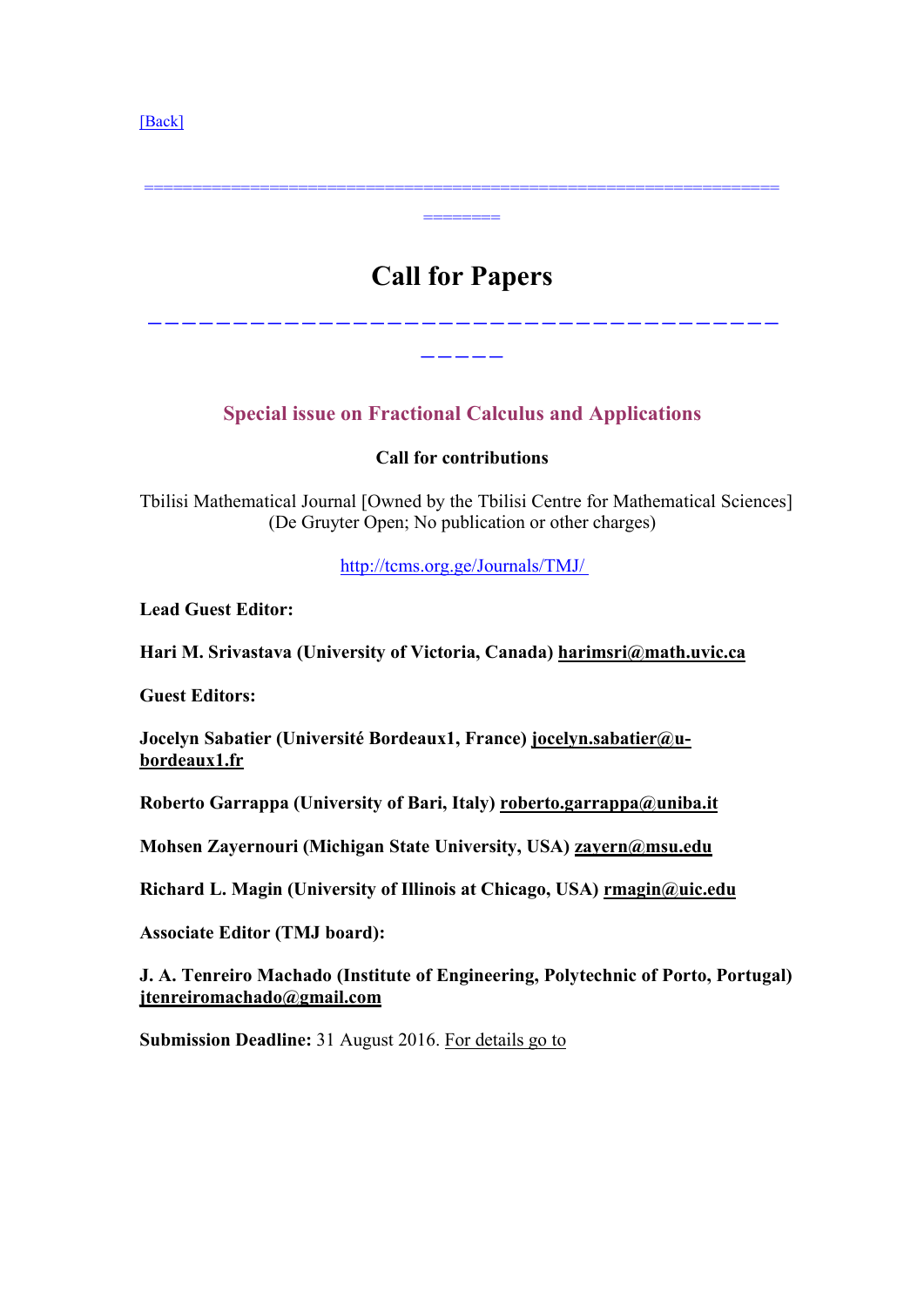<span id="page-3-0"></span>[\[Back\]](#page-0-0)

# **Call for Papers**

================================================================== ========

-------------------------------------

-----

## **Special issue on Fractional Calculus and Applications**

#### **Call for contributions**

Tbilisi Mathematical Journal [Owned by the Tbilisi Centre for Mathematical Sciences] (De Gruyter Open; No publication or other charges)

[http://tcms.org.ge/Journals/TMJ/](http://tcms.org.ge/Journals/TMJ/ )

**Lead Guest Editor:**

**Hari M. Srivastava (University of Victoria, Canada) [harimsri@math.uvic.ca](mailto:harimsri@math.uvic.ca)**

**Guest Editors:**

**Jocelyn Sabatier (Université Bordeaux1, France) [jocelyn.sabatier@u](mailto:jocelyn.sabatier@u-bordeaux1.fr)[bordeaux1.fr](mailto:jocelyn.sabatier@u-bordeaux1.fr)**

**Roberto Garrappa (University of Bari, Italy) [roberto.garrappa@uniba.it](mailto:roberto.garrappa@uniba.it)**

**Mohsen Zayernouri (Michigan State University, USA) [zayern@msu.edu](mailto:zayern@msu.edu)**

**Richard L. Magin (University of Illinois atChicago, USA) [rmagin@uic.edu](mailto:rmagin@uic.edu)**

**Associate Editor (TMJ board):**

**J. A. Tenreiro Machado (Institute of Engineering, Polytechnic of Porto, Portugal) [jtenreiromachado@gmail.com](mailto:jtenreiromachado@gmail.com)**

**Submission Deadline:** 31 August 2016. For [details](http://tcms.org.ge/TMJ_Call _Fractional_Calculus.html) go to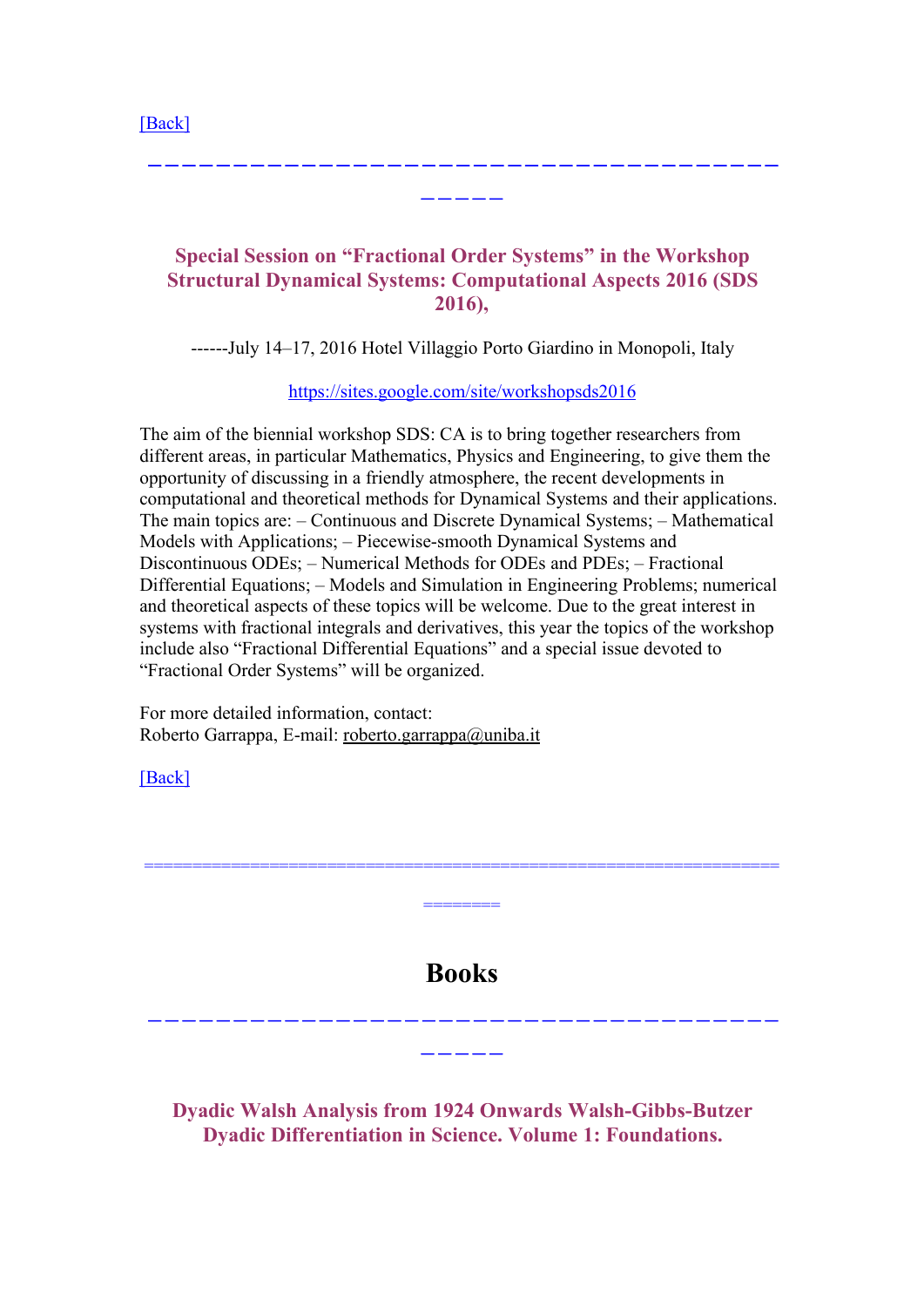<span id="page-4-0"></span>[\[Back\]](#page-0-0)

## **Special Session on "Fractional Order Systems" in the Workshop Structural Dynamical Systems: Computational Aspects 2016 (SDS 2016),**

-------------------------------------

-----

------July 14–17, 2016 Hotel Villaggio Porto Giardino in Monopoli, Italy

[https://sites.google.com/site/workshopsds2016]( https://sites.google.com/site/workshopsds2016)

The aim of the biennial workshop SDS: CA is to bring together researchers from different areas, in particular Mathematics, Physics and Engineering, to give them the opportunity of discussing in a friendly atmosphere, the recent developments in computational and theoretical methods for Dynamical Systems and their applications. The main topics are: – Continuous and Discrete Dynamical Systems; – Mathematical Models with Applications; – Piecewise-smooth Dynamical Systems and Discontinuous ODEs; – Numerical Methods for ODEs and PDEs; – Fractional Differential Equations; – Models and Simulation in Engineering Problems; numerical and theoretical aspects of these topics will be welcome. Due to the great interest in systems with fractional integrals and derivatives, this year the topics of the workshop include also "Fractional Differential Equations" and a special issue devoted to "Fractional Order Systems" will be organized.

For more detailed information, contact: Roberto Garrappa, E-mail: [roberto.garrappa@uniba.it](mailto:roberto.garrappa@uniba.it)

[\[Back\]](#page-0-0)

**Books**

==================================================================

========

-------------------------------------

-----

**Dyadic Walsh Analysis from 1924 Onwards Walsh-Gibbs-Butzer Dyadic Differentiation in Science. Volume 1: Foundations.**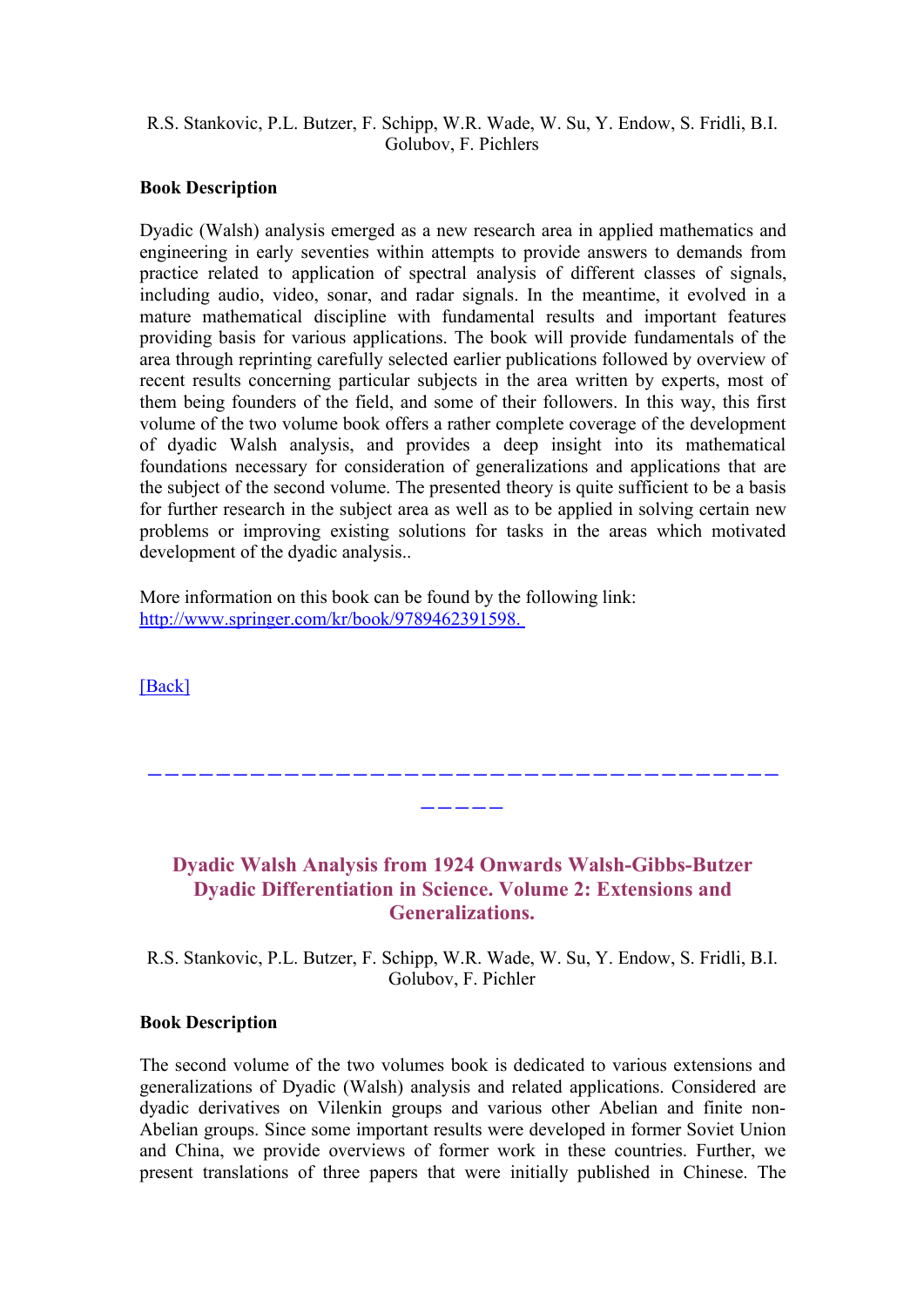#### <span id="page-5-0"></span>R.S. Stankovic, P.L. Butzer, F. Schipp, W.R. Wade, W. Su, Y. Endow, S. Fridli, B.I. Golubov, F. Pichlers

#### **Book Description**

Dyadic (Walsh) analysis emerged as a new research area in applied mathematics and engineering in early seventies within attempts to provide answers to demands from practice related to application of spectral analysis of different classes of signals, including audio, video, sonar, and radar signals. In the meantime, it evolved in a mature mathematical discipline with fundamental results and important features providing basis for various applications. The book will provide fundamentals of the area through reprinting carefully selected earlier publications followed by overview of recent results concerning particular subjects in the area written by experts, most of them being founders of the field, and some of their followers. In this way, this first volume of the two volume book offers a rather complete coverage of the development of dyadic Walsh analysis, and provides a deep insight into its mathematical foundations necessary for consideration of generalizations and applications that are the subject of the second volume. The presented theory is quite sufficient to be a basis for further research in the subject area as well as to be applied in solving certain new problems or improving existing solutions for tasks in the areas which motivated development of the dyadic analysis..

More information on this book can be found by the following link: [http://www.springer.com/kr/book/9789462391598.](http://www.springer.com/kr/book/9789462391598.
)

[\[Back\]](#page-0-0)

### **Dyadic Walsh Analysis from 1924 Onwards Walsh-Gibbs-Butzer Dyadic Differentiation in Science. Volume 2: Extensions and Generalizations.**

-------------------------------------

-----

R.S. Stankovic, P.L. Butzer, F. Schipp, W.R. Wade, W. Su, Y. Endow, S. Fridli, B.I. Golubov, F. Pichler

#### **Book Description**

The second volume of the two volumes book is dedicated to various extensions and generalizations of Dyadic (Walsh) analysis and related applications. Considered are dyadic derivatives on Vilenkin groups and various other Abelian and finite non-Abelian groups. Since some important results were developed in former Soviet Union and China, we provide overviews of former work in these countries. Further, we present translations of three papers that were initially published in Chinese. The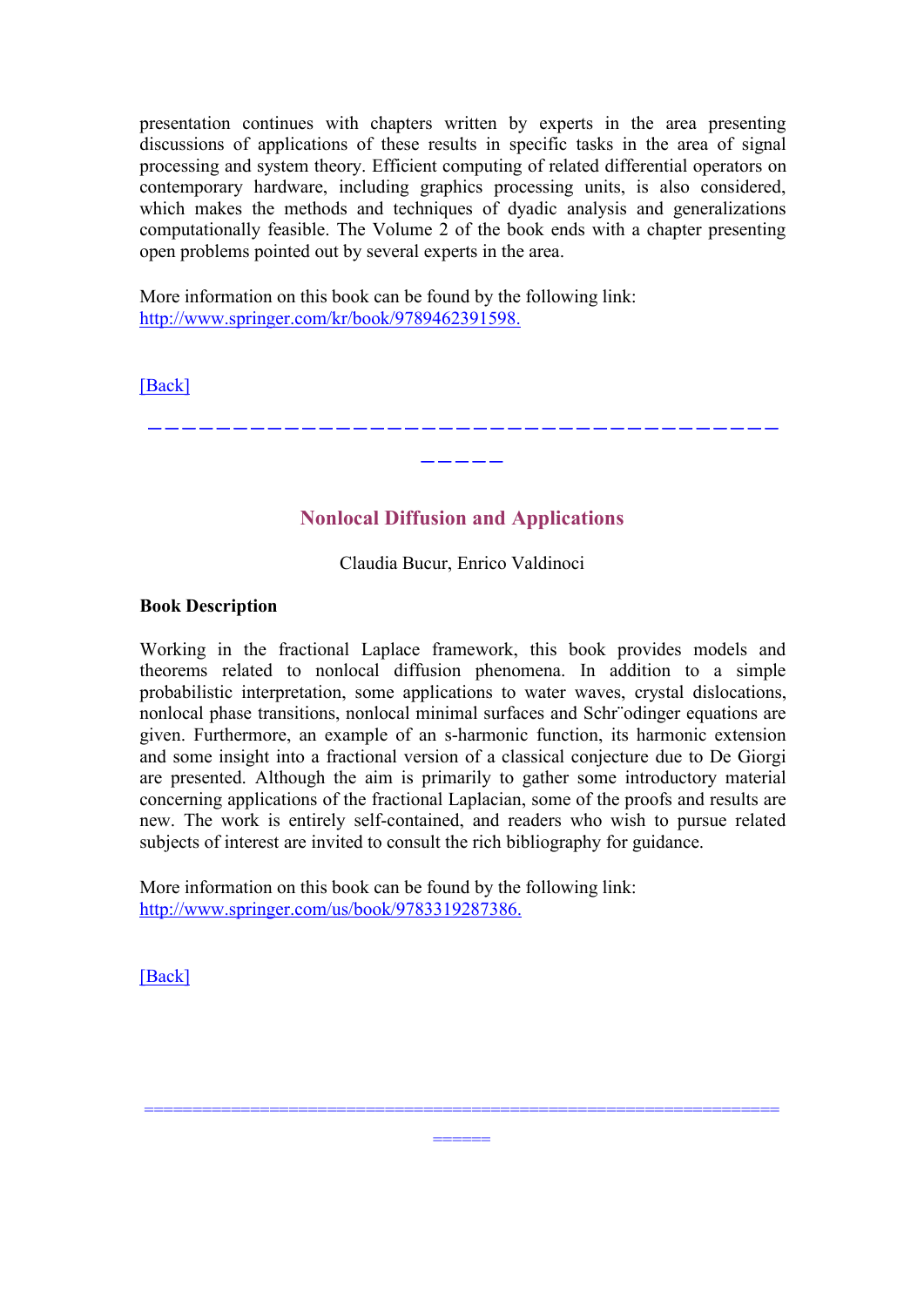<span id="page-6-0"></span>presentation continues with chapters written by experts in the area presenting discussions of applications of these results in specific tasks in the area of signal processing and system theory. Efficient computing of related differential operators on contemporary hardware, including graphics processing units, is also considered, which makes the methods and techniques of dyadic analysis and generalizations computationally feasible. The Volume 2 of the book ends with a chapter presenting open problems pointed out by several experts in the area.

More information on this book can be found by the following link: <http://www.springer.com/kr/book/9789462391598.>

[\[Back\]](#page-0-0)

**Nonlocal Diffusion and Applications**

-------------------------------------

-----

Claudia Bucur, Enrico Valdinoci

#### **Book Description**

Working in the fractional Laplace framework, this book provides models and theorems related to nonlocal diffusion phenomena. In addition to a simple probabilistic interpretation, some applications to water waves, crystal dislocations, nonlocal phase transitions, nonlocal minimal surfaces and Schr¨odinger equations are given. Furthermore, an example of an s-harmonic function, its harmonic extension and some insight into a fractional version of a classical conjecture due to De Giorgi are presented. Although the aim is primarily to gather some introductory material concerning applications of the fractional Laplacian, some of the proofs and results are new. The work is entirely self-contained, and readers who wish to pursue related subjects of interest are invited to consult the rich bibliography for guidance.

======

==================================================================

More information on this book can be found by the following link: <http://www.springer.com/us/book/9783319287386.>

[\[Back\]](#page-0-0)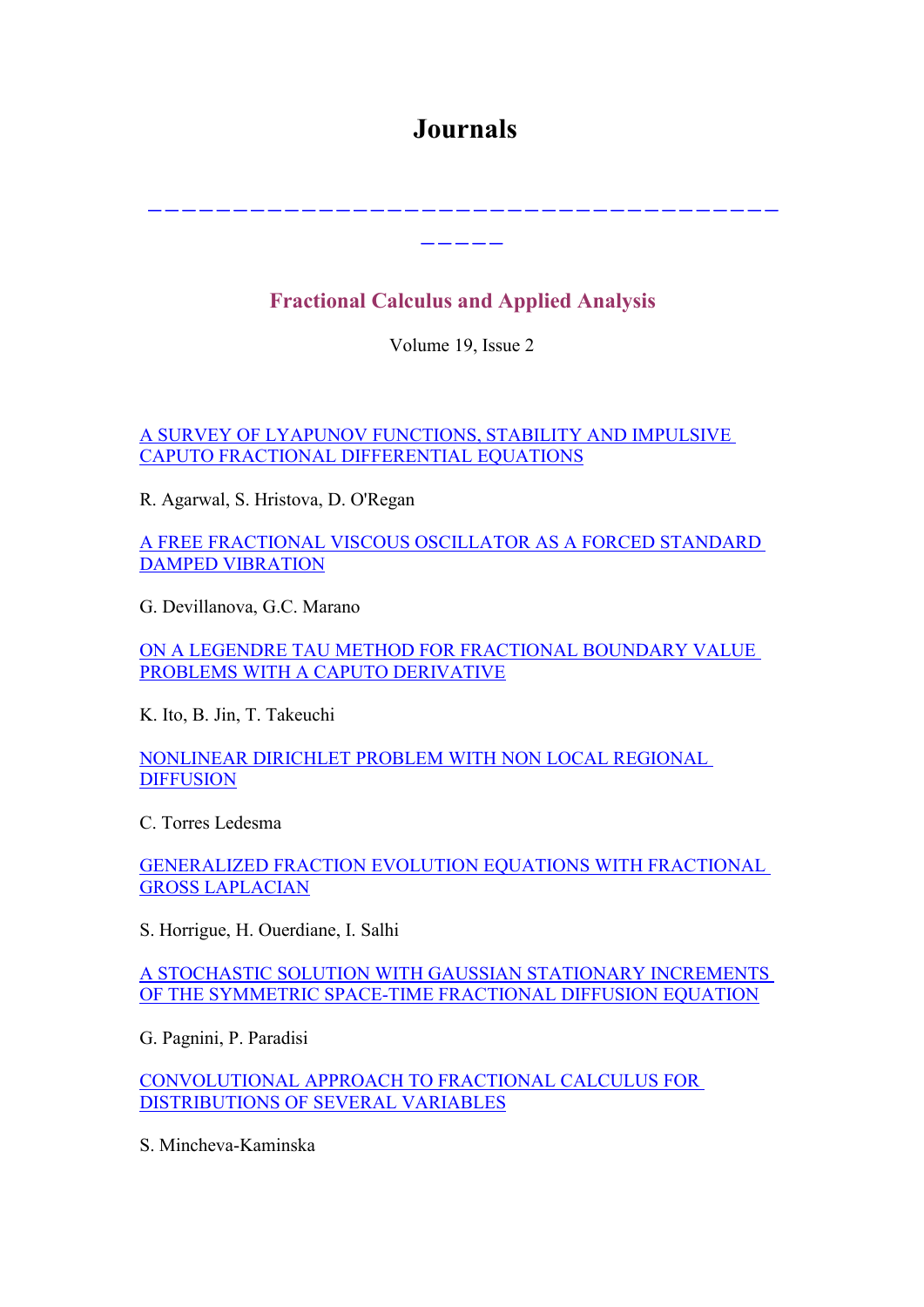## <span id="page-7-0"></span>**Journals**

-------------------------------------

-----

## **Fractional Calculus and Applied Analysis**

Volume 19, Issue 2

A SURVEY OF LYAPUNOV [FUNCTIONS,](http://www.degruyter.com/view/j/fca) STABILITY AND IMPULSIVE CAPUTO FRACTIONAL [DIFFERENTIAL](http://www.degruyter.com/view/j/fca) EQUATIONS

R. Agarwal, S. Hristova, D. O'Regan

A FREE [FRACTIONAL](http://www.degruyter.com/view/j/fca) VISCOUS OSCILLATOR AS A FORCED STANDARD DAMPED [VIBRATION](http://www.degruyter.com/view/j/fca)

G. Devillanova, G.C. Marano

ON A LEGENDRE TAU METHOD FOR [FRACTIONAL](http://www.degruyter.com/view/j/fca) BOUNDARY VALUE PROBLEMS WITH A CAPUTO [DERIVATIVE](http://www.degruyter.com/view/j/fca)

K. Ito, B. Jin, T. Takeuchi

[NONLINEAR](http://www.degruyter.com/view/j/fca) DIRICHLET PROBLEM WITH NON LOCAL REGIONAL **[DIFFUSION](http://www.degruyter.com/view/j/fca)** 

C. Torres Ledesma

[GENERALIZED](http://www.degruyter.com/view/j/fca.2016.19.issue-1/issue-files/fca.2016.19.issue-1.xml) FRACTION EVOLUTION EQUATIONS WITH FRACTIONAL GROSS [LAPLACIAN](http://www.degruyter.com/view/j/fca.2016.19.issue-1/issue-files/fca.2016.19.issue-1.xml)

S. Horrigue, H. Ouerdiane, I. Salhi

A STOCHASTIC SOLUTION WITH GAUSSIAN STATIONARY [INCREMENTS](http://www.degruyter.com/view/j/fca.2016.19.issue-1/issue-files/fca.2016.19.issue-1.xml) OF THE SYMMETRIC SPACE-TIME [FRACTIONAL](http://www.degruyter.com/view/j/fca.2016.19.issue-1/issue-files/fca.2016.19.issue-1.xml) DIFFUSION EQUATION

G. Pagnini, P. Paradisi

[CONVOLUTIONAL](http://www.degruyter.com/view/j/fca.2016.19.issue-1/issue-files/fca.2016.19.issue-1.xml) APPROACH TO FRACTIONAL CALCULUS FOR [DISTRIBUTIONS](http://www.degruyter.com/view/j/fca.2016.19.issue-1/issue-files/fca.2016.19.issue-1.xml) OF SEVERAL VARIABLES

S. Mincheva-Kaminska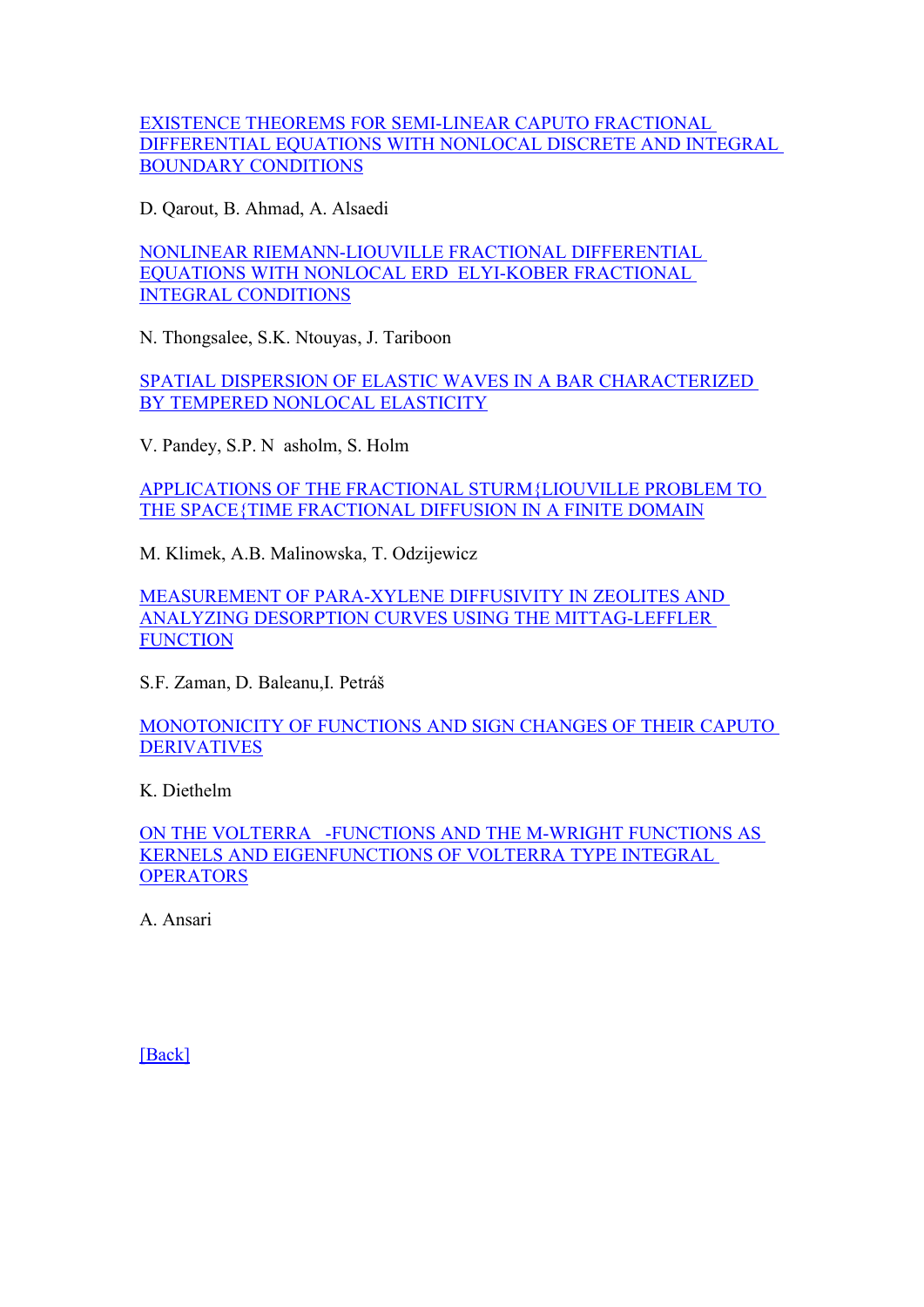EXISTENCE THEOREMS FOR [SEMI-LINEAR](http://www.degruyter.com/view/j/fca.2016.19.issue-1/issue-files/fca.2016.19.issue-1.xml) CAPUTO FRACTIONAL [DIFFERENTIAL](http://www.degruyter.com/view/j/fca.2016.19.issue-1/issue-files/fca.2016.19.issue-1.xml) EQUATIONS WITH NONLOCAL DISCRETE AND INTEGRAL BOUNDARY [CONDITIONS](http://www.degruyter.com/view/j/fca.2016.19.issue-1/issue-files/fca.2016.19.issue-1.xml)

D. Qarout, B. Ahmad, A. Alsaedi

NONLINEAR [RIEMANN-LIOUVILLE](http://www.degruyter.com/view/j/fca.2016.19.issue-1/issue-files/fca.2016.19.issue-1.xml) FRACTIONAL DIFFERENTIAL EQUATIONS WITH NONLOCAL ERD ELYI-KOBER [FRACTIONAL](http://www.degruyter.com/view/j/fca.2016.19.issue-1/issue-files/fca.2016.19.issue-1.xml) INTEGRAL [CONDITIONS](http://www.degruyter.com/view/j/fca.2016.19.issue-1/issue-files/fca.2016.19.issue-1.xml)

N. Thongsalee, S.K. Ntouyas, J. Tariboon

SPATIAL DISPERSION OF ELASTIC WAVES IN A BAR [CHARACTERIZED](http://www.degruyter.com/view/j/fca.2016.19.issue-1/issue-files/fca.2016.19.issue-1.xml) BY TEMPERED NONLOCAL [ELASTICITY](http://www.degruyter.com/view/j/fca.2016.19.issue-1/issue-files/fca.2016.19.issue-1.xml)

V. Pandey, S.P. N asholm, S. Holm

APPLICATIONS OF THE FRACTIONAL [STURM{LIOUVILLE](http://www.degruyter.com/view/j/fca.2016.19.issue-1/issue-files/fca.2016.19.issue-1.xml) PROBLEM TO THE SPACE{TIME [FRACTIONAL](http://www.degruyter.com/view/j/fca.2016.19.issue-1/issue-files/fca.2016.19.issue-1.xml) DIFFUSION IN A FINITE DOMAIN

M. Klimek, A.B. Malinowska, T. Odzijewicz

[MEASUREMENT](http://www.degruyter.com/view/j/fca.2016.19.issue-1/issue-files/fca.2016.19.issue-1.xml) OF PARA-XYLENE DIFFUSIVITY IN ZEOLITES AND ANALYZING DESORPTION CURVES USING THE [MITTAG-LEFFLER](http://www.degruyter.com/view/j/fca.2016.19.issue-1/issue-files/fca.2016.19.issue-1.xml) **[FUNCTION](http://www.degruyter.com/view/j/fca.2016.19.issue-1/issue-files/fca.2016.19.issue-1.xml)** 

S.F. Zaman, D. Baleanu,I. Petráš

[MONOTONICITY](http://www.degruyter.com/view/j/fca.2016.19.issue-1/issue-files/fca.2016.19.issue-1.xml) OF FUNCTIONS AND SIGN CHANGES OF THEIR CAPUTO [DERIVATIVES](http://www.degruyter.com/view/j/fca.2016.19.issue-1/issue-files/fca.2016.19.issue-1.xml)

K. Diethelm

ON THE VOLTERRA [-FUNCTIONS](http://www.degruyter.com/view/j/fca.2016.19.issue-1/issue-files/fca.2016.19.issue-1.xml) AND THE M-WRIGHT FUNCTIONS AS KERNELS AND [EIGENFUNCTIONS](http://www.degruyter.com/view/j/fca.2016.19.issue-1/issue-files/fca.2016.19.issue-1.xml) OF VOLTERRA TYPE INTEGRAL **[OPERATORS](http://www.degruyter.com/view/j/fca.2016.19.issue-1/issue-files/fca.2016.19.issue-1.xml)** 

A. Ansari

[\[Back\]](#page-0-0)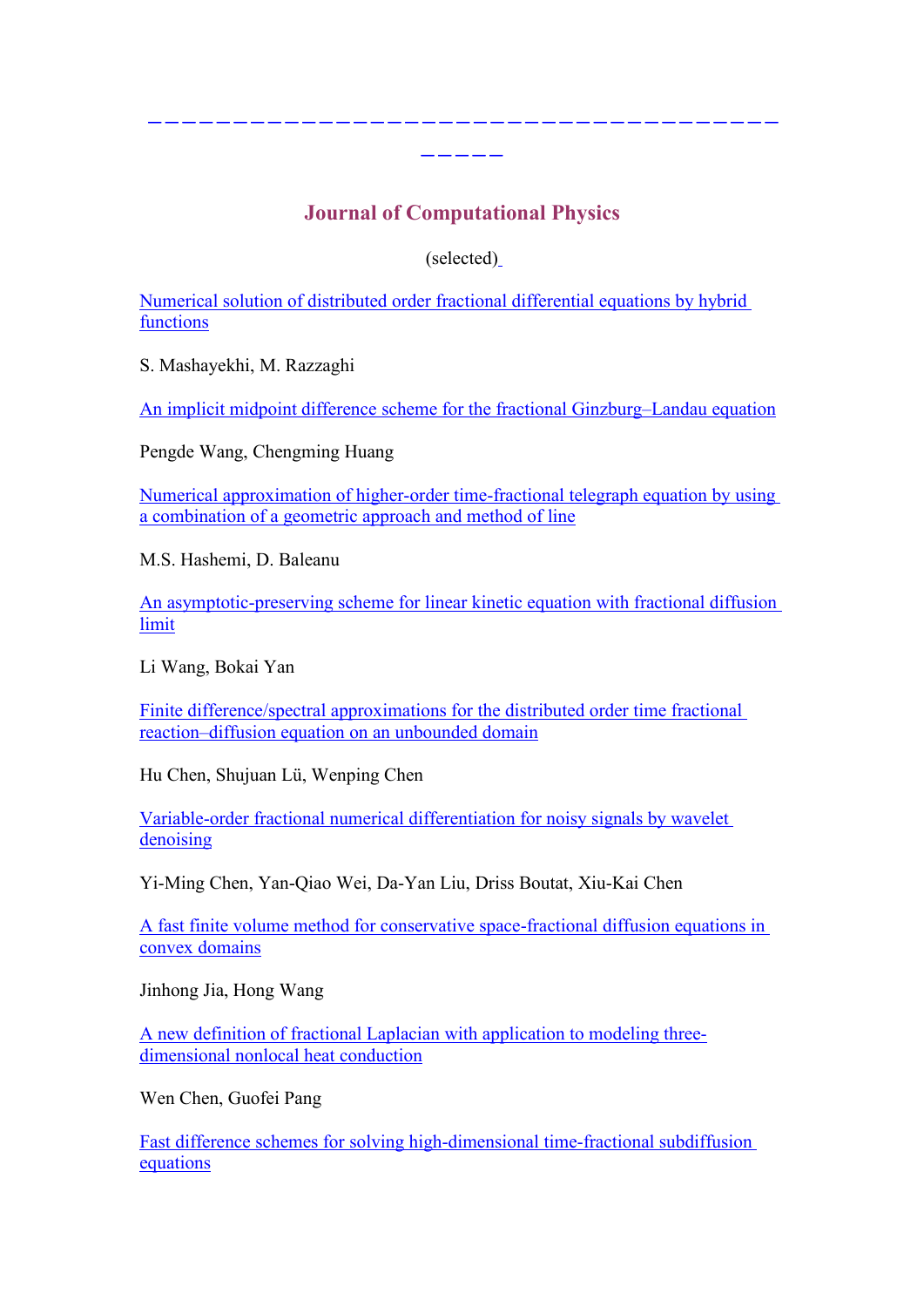## <span id="page-9-0"></span>**Journal of Computational Physics**

-------------------------------------

-----

(selected[\)](http://www.degruyter.com/view/j/fca)

Numerical solution of distributed order fractional [differential](http://www.sciencedirect.com/science?_ob=ArticleListURL&_method=list&_ArticleListID=-977203791&_sort=r&_st=13&view=c&md5=16c345f7122e460328125426861f5813&searchtype=a) equations by hybrid [functions](http://www.sciencedirect.com/science?_ob=ArticleListURL&_method=list&_ArticleListID=-977203791&_sort=r&_st=13&view=c&md5=16c345f7122e460328125426861f5813&searchtype=a)

S. Mashayekhi, M. Razzaghi

An implicit midpoint difference scheme for the fractional [Ginzburg–Landau](http://www.sciencedirect.com/science?_ob=ArticleListURL&_method=list&_ArticleListID=-977203791&_sort=r&_st=13&view=c&md5=16c345f7122e460328125426861f5813&searchtype=a) equation

Pengde Wang, Chengming Huang

Numerical approximation of higher-order [time-fractional](http://www.sciencedirect.com/science?_ob=ArticleListURL&_method=list&_ArticleListID=-977203791&_sort=r&_st=13&view=c&md5=16c345f7122e460328125426861f5813&searchtype=a) telegraph equation by using a [combination](http://www.sciencedirect.com/science?_ob=ArticleListURL&_method=list&_ArticleListID=-977203791&_sort=r&_st=13&view=c&md5=16c345f7122e460328125426861f5813&searchtype=a) of a geometric approach and method of line

M.S. Hashemi, D. Baleanu

An [asymptotic-preserving](http://www.sciencedirect.com/science?_ob=ArticleListURL&_method=list&_ArticleListID=-977203791&_sort=r&_st=13&view=c&md5=16c345f7122e460328125426861f5813&searchtype=a) scheme for linear kinetic equation with fractional diffusion [limit](http://www.sciencedirect.com/science?_ob=ArticleListURL&_method=list&_ArticleListID=-977203791&_sort=r&_st=13&view=c&md5=16c345f7122e460328125426861f5813&searchtype=a)

Li Wang, Bokai Yan

Finite [difference/spectral](http://www.sciencedirect.com/science?_ob=ArticleListURL&_method=list&_ArticleListID=-977203791&_sort=r&_st=13&view=c&md5=16c345f7122e460328125426861f5813&searchtype=a) approximations for the distributed order time fractional [reaction–diffusion](http://www.sciencedirect.com/science?_ob=ArticleListURL&_method=list&_ArticleListID=-977203791&_sort=r&_st=13&view=c&md5=16c345f7122e460328125426861f5813&searchtype=a) equation on an unbounded domain

Hu Chen, Shujuan Lü, Wenping Chen

[Variable-order](http://www.sciencedirect.com/science?_ob=ArticleListURL&_method=list&_ArticleListID=-977203791&_sort=r&_st=13&view=c&md5=16c345f7122e460328125426861f5813&searchtype=a) fractional numerical differentiation for noisy signals by wavelet [denoising](http://www.sciencedirect.com/science?_ob=ArticleListURL&_method=list&_ArticleListID=-977203791&_sort=r&_st=13&view=c&md5=16c345f7122e460328125426861f5813&searchtype=a)

Yi-Ming Chen, Yan-Qiao Wei, Da-Yan Liu, Driss Boutat, Xiu-Kai Chen

A fast finite volume method for conservative [space-fractional](http://www.sciencedirect.com/science?_ob=ArticleListURL&_method=list&_ArticleListID=-977203791&_sort=r&_st=13&view=c&md5=16c345f7122e460328125426861f5813&searchtype=a) diffusion equations in convex [domains](http://www.sciencedirect.com/science?_ob=ArticleListURL&_method=list&_ArticleListID=-977203791&_sort=r&_st=13&view=c&md5=16c345f7122e460328125426861f5813&searchtype=a)

Jinhong Jia, Hong Wang

A new definition of fractional Laplacian with [application](http://www.sciencedirect.com/science?_ob=ArticleListURL&_method=list&_ArticleListID=-977203791&_sort=r&_st=13&view=c&md5=16c345f7122e460328125426861f5813&searchtype=a) to modeling three[dimensional](http://www.sciencedirect.com/science?_ob=ArticleListURL&_method=list&_ArticleListID=-977203791&_sort=r&_st=13&view=c&md5=16c345f7122e460328125426861f5813&searchtype=a) nonlocal heat conduction

Wen Chen, Guofei Pang

Fast difference schemes for solving [high-dimensional](http://www.sciencedirect.com/science?_ob=ArticleListURL&_method=list&_ArticleListID=-977203791&_sort=r&_st=13&view=c&md5=16c345f7122e460328125426861f5813&searchtype=a) time-fractional subdiffusion [equations](http://www.sciencedirect.com/science?_ob=ArticleListURL&_method=list&_ArticleListID=-977203791&_sort=r&_st=13&view=c&md5=16c345f7122e460328125426861f5813&searchtype=a)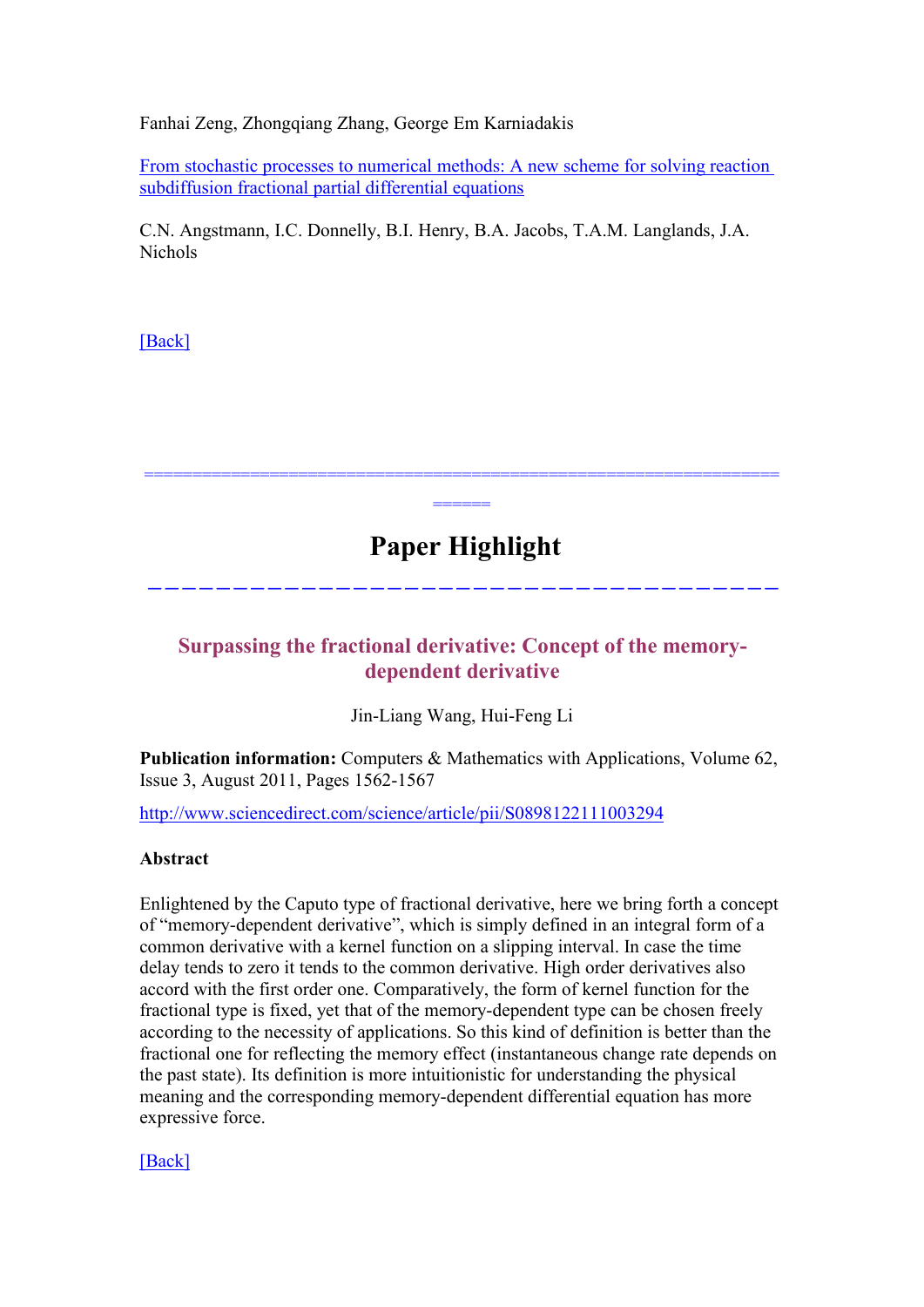<span id="page-10-0"></span>Fanhai Zeng, Zhongqiang Zhang, George Em Karniadakis

From stochastic processes to numerical methods: A new scheme for solving reaction [subdiffusion](http://www.sciencedirect.com/science?_ob=ArticleListURL&_method=list&_ArticleListID=-977203791&_sort=r&_st=13&view=c&md5=16c345f7122e460328125426861f5813&searchtype=a) fractional partial differential equations

C.N. Angstmann, I.C. Donnelly, B.I. Henry, B.A. Jacobs, T.A.M. Langlands, J.A. Nichols

[\[Back\]](#page-0-0)

# **Paper Highlight**

================================================================== ======

-------------------------------------

## **Surpassing the fractional derivative: Concept of the memorydependent derivative**

Jin-Liang Wang, Hui-Feng Li

**Publication information:** Computers & Mathematics with Applications, Volume 62, Issue 3, August 2011, Pages 1562-1567

<http://www.sciencedirect.com/science/article/pii/S0898122111003294>

#### **Abstract**

Enlightened by the Caputo type of fractional derivative, here we bring forth a concept of "memory-dependent derivative", which is simply defined in an integral form of a common derivative with a kernel function on a slipping interval. In case the time delay tends to zero it tends to the common derivative. High order derivatives also accord with the first order one. Comparatively, the form of kernel function for the fractional type is fixed, yet that of the memory-dependent type can be chosen freely according to the necessity of applications. So this kind of definition is better than the fractional one for reflecting the memory effect (instantaneous change rate depends on the past state). Its definition is more intuitionistic for understanding the physical meaning and the corresponding memory-dependent differential equation has more expressive force.

[\[Back\]](#page-0-0)